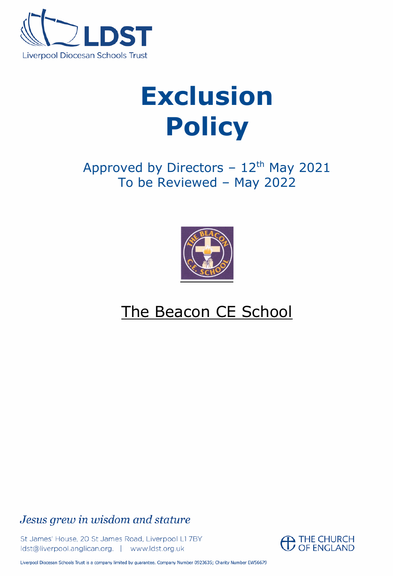

# **Exclusion Policy**

Approved by Directors  $-12$ <sup>th</sup> May 2021 To be Reviewed – May 2022



## The Beacon CE School

Jesus grew in wisdom and stature

St James' House, 20 St James Road, Liverpool L17BY Idst@liverpool.anglican.org. | www.ldst.org.uk



Liverpool Diocesan Schools Trust is a company limited by guarantee. Company Number 0923635; Charity Number EW56679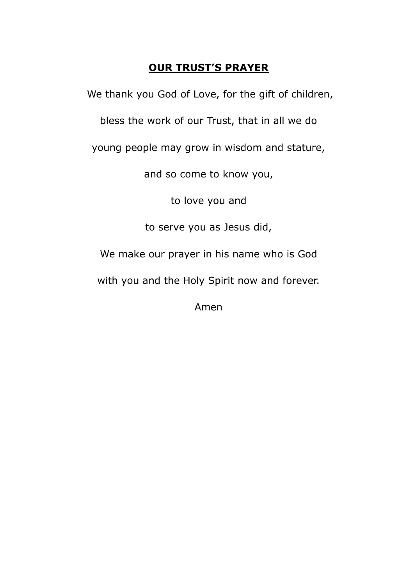### **OUR TRUST'S PRAYER**

We thank you God of Love, for the gift of children,

bless the work of our Trust, that in all we do

young people may grow in wisdom and stature,

and so come to know you,

to love you and

to serve you as Jesus did,

We make our prayer in his name who is God

with you and the Holy Spirit now and forever.

Amen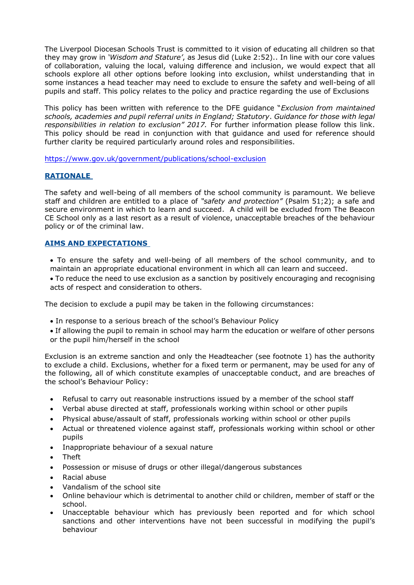The Liverpool Diocesan Schools Trust is committed to it vision of educating all children so that they may grow in *'Wisdom and Stature'*, as Jesus did (Luke 2:52).. In line with our core values of collaboration, valuing the local, valuing difference and inclusion, we would expect that all schools explore all other options before looking into exclusion, whilst understanding that in some instances a head teacher may need to exclude to ensure the safety and well-being of all pupils and staff. This policy relates to the policy and practice regarding the use of Exclusions

This policy has been written with reference to the DFE guidance "*Exclusion from maintained schools, academies and pupil referral units in England; Statutory*. *Guidance for those with legal*  responsibilities in relation to exclusion" 2017. For further information please follow this link. This policy should be read in conjunction with that guidance and used for reference should further clarity be required particularly around roles and responsibilities.

<https://www.gov.uk/government/publications/school-exclusion>

#### **RATIONALE**

The safety and well-being of all members of the school community is paramount. We believe staff and children are entitled to a place of *"safety and protection"* (Psalm 51;2); a safe and secure environment in which to learn and succeed. A child will be excluded from The Beacon CE School only as a last resort as a result of violence, unacceptable breaches of the behaviour policy or of the criminal law.

#### **AIMS AND EXPECTATIONS**

- To ensure the safety and well-being of all members of the school community, and to maintain an appropriate educational environment in which all can learn and succeed.
- To reduce the need to use exclusion as a sanction by positively encouraging and recognising acts of respect and consideration to others.

The decision to exclude a pupil may be taken in the following circumstances:

- In response to a serious breach of the school's Behaviour Policy
- If allowing the pupil to remain in school may harm the education or welfare of other persons or the pupil him/herself in the school

Exclusion is an extreme sanction and only the Headteacher (see footnote 1) has the authority to exclude a child. Exclusions, whether for a fixed term or permanent, may be used for any of the following, all of which constitute examples of unacceptable conduct, and are breaches of the school's Behaviour Policy:

- Refusal to carry out reasonable instructions issued by a member of the school staff
- Verbal abuse directed at staff, professionals working within school or other pupils
- Physical abuse/assault of staff, professionals working within school or other pupils
- Actual or threatened violence against staff, professionals working within school or other pupils
- Inappropriate behaviour of a sexual nature
- Theft
- Possession or misuse of drugs or other illegal/dangerous substances
- Racial abuse
- Vandalism of the school site
- Online behaviour which is detrimental to another child or children, member of staff or the school.
- Unacceptable behaviour which has previously been reported and for which school sanctions and other interventions have not been successful in modifying the pupil's behaviour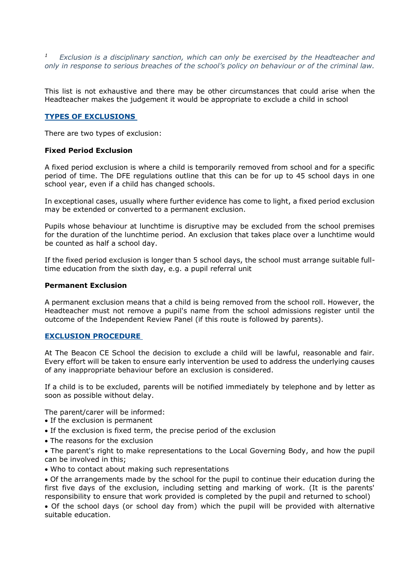*1 Exclusion is a disciplinary sanction, which can only be exercised by the Headteacher and only in response to serious breaches of the school's policy on behaviour or of the criminal law.*

This list is not exhaustive and there may be other circumstances that could arise when the Headteacher makes the judgement it would be appropriate to exclude a child in school

#### **TYPES OF EXCLUSIONS**

There are two types of exclusion:

#### **Fixed Period Exclusion**

A fixed period exclusion is where a child is temporarily removed from school and for a specific period of time. The DFE regulations outline that this can be for up to 45 school days in one school year, even if a child has changed schools.

In exceptional cases, usually where further evidence has come to light, a fixed period exclusion may be extended or converted to a permanent exclusion.

Pupils whose behaviour at lunchtime is disruptive may be excluded from the school premises for the duration of the lunchtime period. An exclusion that takes place over a lunchtime would be counted as half a school day.

If the fixed period exclusion is longer than 5 school days, the school must arrange suitable fulltime education from the sixth day, e.g. a pupil referral unit

#### **Permanent Exclusion**

A permanent exclusion means that a child is being removed from the school roll. However, the Headteacher must not remove a pupil's name from the school admissions register until the outcome of the Independent Review Panel (if this route is followed by parents).

#### **EXCLUSION PROCEDURE**

At The Beacon CE School the decision to exclude a child will be lawful, reasonable and fair. Every effort will be taken to ensure early intervention be used to address the underlying causes of any inappropriate behaviour before an exclusion is considered.

If a child is to be excluded, parents will be notified immediately by telephone and by letter as soon as possible without delay.

The parent/carer will be informed:

- If the exclusion is permanent
- If the exclusion is fixed term, the precise period of the exclusion
- The reasons for the exclusion

• The parent's right to make representations to the Local Governing Body, and how the pupil can be involved in this;

• Who to contact about making such representations

• Of the arrangements made by the school for the pupil to continue their education during the first five days of the exclusion, including setting and marking of work. (It is the parents' responsibility to ensure that work provided is completed by the pupil and returned to school)

• Of the school days (or school day from) which the pupil will be provided with alternative suitable education.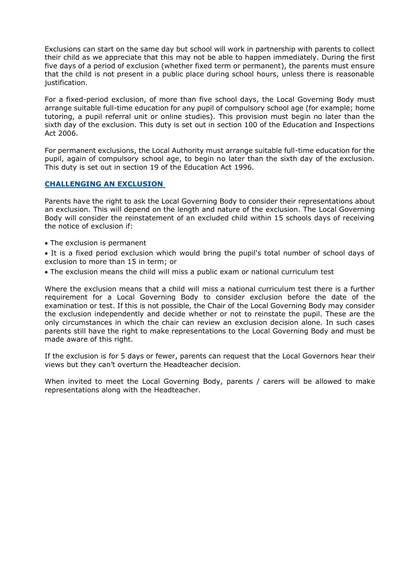Exclusions can start on the same day but school will work in partnership with parents to collect their child as we appreciate that this may not be able to happen immediately. During the first five days of a period of exclusion (whether fixed term or permanent), the parents must ensure that the child is not present in a public place during school hours, unless there is reasonable justification.

For a fixed-period exclusion, of more than five school days, the Local Governing Body must arrange suitable full-time education for any pupil of compulsory school age (for example; home tutoring, a pupil referral unit or online studies). This provision must begin no later than the sixth day of the exclusion. This duty is set out in section 100 of the Education and Inspections Act 2006.

For permanent exclusions, the Local Authority must arrange suitable full-time education for the pupil, again of compulsory school age, to begin no later than the sixth day of the exclusion. This duty is set out in section 19 of the Education Act 1996.

#### **CHALLENGING AN EXCLUSION**

Parents have the right to ask the Local Governing Body to consider their representations about an exclusion. This will depend on the length and nature of the exclusion. The Local Governing Body will consider the reinstatement of an excluded child within 15 schools days of receiving the notice of exclusion if:

- The exclusion is permanent
- It is a fixed period exclusion which would bring the pupil's total number of school days of exclusion to more than 15 in term; or
- The exclusion means the child will miss a public exam or national curriculum test

Where the exclusion means that a child will miss a national curriculum test there is a further requirement for a Local Governing Body to consider exclusion before the date of the examination or test. If this is not possible, the Chair of the Local Governing Body may consider the exclusion independently and decide whether or not to reinstate the pupil. These are the only circumstances in which the chair can review an exclusion decision alone. In such cases parents still have the right to make representations to the Local Governing Body and must be made aware of this right.

If the exclusion is for 5 days or fewer, parents can request that the Local Governors hear their views but they can't overturn the Headteacher decision.

When invited to meet the Local Governing Body, parents / carers will be allowed to make representations along with the Headteacher.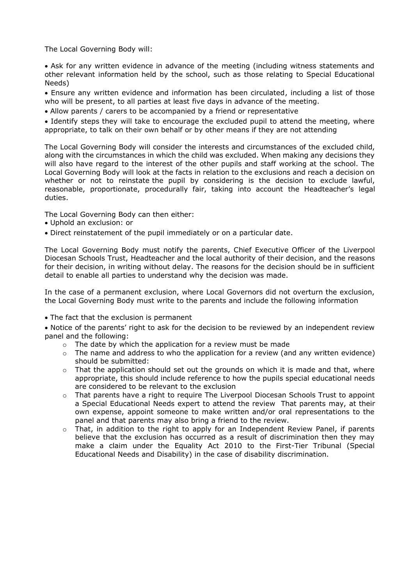The Local Governing Body will:

• Ask for any written evidence in advance of the meeting (including witness statements and other relevant information held by the school, such as those relating to Special Educational Needs)

• Ensure any written evidence and information has been circulated, including a list of those who will be present, to all parties at least five days in advance of the meeting.

• Allow parents / carers to be accompanied by a friend or representative

• Identify steps they will take to encourage the excluded pupil to attend the meeting, where appropriate, to talk on their own behalf or by other means if they are not attending

The Local Governing Body will consider the interests and circumstances of the excluded child, along with the circumstances in which the child was excluded. When making any decisions they will also have regard to the interest of the other pupils and staff working at the school. The Local Governing Body will look at the facts in relation to the exclusions and reach a decision on whether or not to reinstate the pupil by considering is the decision to exclude lawful, reasonable, proportionate, procedurally fair, taking into account the Headteacher's legal duties.

The Local Governing Body can then either:

- Uphold an exclusion: or
- Direct reinstatement of the pupil immediately or on a particular date.

The Local Governing Body must notify the parents, Chief Executive Officer of the Liverpool Diocesan Schools Trust, Headteacher and the local authority of their decision, and the reasons for their decision, in writing without delay. The reasons for the decision should be in sufficient detail to enable all parties to understand why the decision was made.

In the case of a permanent exclusion, where Local Governors did not overturn the exclusion, the Local Governing Body must write to the parents and include the following information

• The fact that the exclusion is permanent

• Notice of the parents' right to ask for the decision to be reviewed by an independent review panel and the following:

- $\circ$  The date by which the application for a review must be made
- o The name and address to who the application for a review (and any written evidence) should be submitted:
- $\circ$  That the application should set out the grounds on which it is made and that, where appropriate, this should include reference to how the pupils special educational needs are considered to be relevant to the exclusion
- o That parents have a right to require The Liverpool Diocesan Schools Trust to appoint a Special Educational Needs expert to attend the review That parents may, at their own expense, appoint someone to make written and/or oral representations to the panel and that parents may also bring a friend to the review.
- o That, in addition to the right to apply for an Independent Review Panel, if parents believe that the exclusion has occurred as a result of discrimination then they may make a claim under the Equality Act 2010 to the First-Tier Tribunal (Special Educational Needs and Disability) in the case of disability discrimination.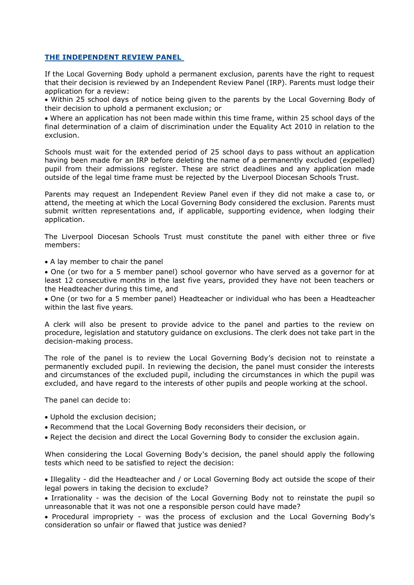#### **THE INDEPENDENT REVIEW PANEL**

If the Local Governing Body uphold a permanent exclusion, parents have the right to request that their decision is reviewed by an Independent Review Panel (IRP). Parents must lodge their application for a review:

• Within 25 school days of notice being given to the parents by the Local Governing Body of their decision to uphold a permanent exclusion; or

• Where an application has not been made within this time frame, within 25 school days of the final determination of a claim of discrimination under the Equality Act 2010 in relation to the exclusion.

Schools must wait for the extended period of 25 school days to pass without an application having been made for an IRP before deleting the name of a permanently excluded (expelled) pupil from their admissions register. These are strict deadlines and any application made outside of the legal time frame must be rejected by the Liverpool Diocesan Schools Trust.

Parents may request an Independent Review Panel even if they did not make a case to, or attend, the meeting at which the Local Governing Body considered the exclusion. Parents must submit written representations and, if applicable, supporting evidence, when lodging their application.

The Liverpool Diocesan Schools Trust must constitute the panel with either three or five members:

• A lay member to chair the panel

• One (or two for a 5 member panel) school governor who have served as a governor for at least 12 consecutive months in the last five years, provided they have not been teachers or the Headteacher during this time, and

• One (or two for a 5 member panel) Headteacher or individual who has been a Headteacher within the last five years.

A clerk will also be present to provide advice to the panel and parties to the review on procedure, legislation and statutory guidance on exclusions. The clerk does not take part in the decision-making process.

The role of the panel is to review the Local Governing Body's decision not to reinstate a permanently excluded pupil. In reviewing the decision, the panel must consider the interests and circumstances of the excluded pupil, including the circumstances in which the pupil was excluded, and have regard to the interests of other pupils and people working at the school.

The panel can decide to:

- Uphold the exclusion decision;
- Recommend that the Local Governing Body reconsiders their decision, or
- Reject the decision and direct the Local Governing Body to consider the exclusion again.

When considering the Local Governing Body's decision, the panel should apply the following tests which need to be satisfied to reject the decision:

• Illegality - did the Headteacher and / or Local Governing Body act outside the scope of their legal powers in taking the decision to exclude?

• Irrationality - was the decision of the Local Governing Body not to reinstate the pupil so unreasonable that it was not one a responsible person could have made?

• Procedural impropriety - was the process of exclusion and the Local Governing Body's consideration so unfair or flawed that justice was denied?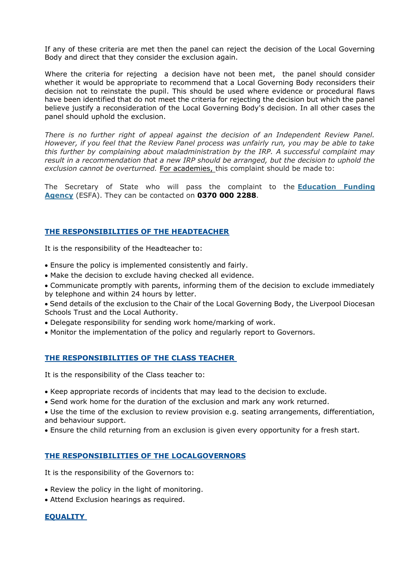If any of these criteria are met then the panel can reject the decision of the Local Governing Body and direct that they consider the exclusion again.

Where the criteria for rejecting a decision have not been met, the panel should consider whether it would be appropriate to recommend that a Local Governing Body reconsiders their decision not to reinstate the pupil. This should be used where evidence or procedural flaws have been identified that do not meet the criteria for rejecting the decision but which the panel believe justify a reconsideration of the Local Governing Body's decision. In all other cases the panel should uphold the exclusion.

*There is no further right of appeal against the decision of an Independent Review Panel. However, if you feel that the Review Panel process was unfairly run, you may be able to take this further by complaining about maladministration by the IRP. A successful complaint may result in a recommendation that a new IRP should be arranged, but the decision to uphold the exclusion cannot be overturned.* For academies, this complaint should be made to:

The Secretary of State who will pass the complaint to the **[Education Funding](https://www.gov.uk/government/organisations/education-and-skills-funding-agency)  [Agency](https://www.gov.uk/government/organisations/education-and-skills-funding-agency)** (ESFA). They can be contacted on **0370 000 2288**.

#### **THE RESPONSIBILITIES OF THE HEADTEACHER**

It is the responsibility of the Headteacher to:

- Ensure the policy is implemented consistently and fairly.
- Make the decision to exclude having checked all evidence.
- Communicate promptly with parents, informing them of the decision to exclude immediately by telephone and within 24 hours by letter.
- Send details of the exclusion to the Chair of the Local Governing Body, the Liverpool Diocesan Schools Trust and the Local Authority.
- Delegate responsibility for sending work home/marking of work.
- Monitor the implementation of the policy and regularly report to Governors.

#### **THE RESPONSIBILITIES OF THE CLASS TEACHER**

It is the responsibility of the Class teacher to:

- Keep appropriate records of incidents that may lead to the decision to exclude.
- Send work home for the duration of the exclusion and mark any work returned.
- Use the time of the exclusion to review provision e.g. seating arrangements, differentiation, and behaviour support.
- Ensure the child returning from an exclusion is given every opportunity for a fresh start.

#### **THE RESPONSIBILITIES OF THE LOCALGOVERNORS**

It is the responsibility of the Governors to:

- Review the policy in the light of monitoring.
- Attend Exclusion hearings as required.

#### **EQUALITY**